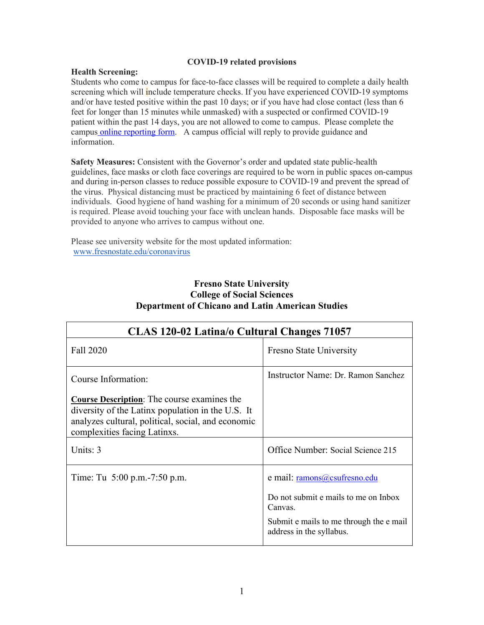### **COVID-19 related provisions**

## **Health Screening:**

Students who come to campus for face-to-face classes will be required to complete a daily health screening which will include temperature checks. If you have experienced COVID-19 symptoms and/or have tested positive within the past 10 days; or if you have had close contact (less than 6 feet for longer than 15 minutes while unmasked) with a suspected or confirmed COVID-19 patient within the past 14 days, you are not allowed to come to campus. Please complete the campus [online reporting form.](https://fresnostate.co1.qualtrics.com/jfe/form/SV_3faIAsuC8CzuFjD?Q_FormSessionID=FS_UFJ902LXgDJbKeZ) A campus official will reply to provide guidance and information.

**Safety Measures:** Consistent with the Governor's order and updated state public-health guidelines, face masks or cloth face coverings are required to be worn in public spaces on-campus and during in-person classes to reduce possible exposure to COVID-19 and prevent the spread of the virus. Physical distancing must be practiced by maintaining 6 feet of distance between individuals. Good hygiene of hand washing for a minimum of 20 seconds or using hand sanitizer is required. Please avoid touching your face with unclean hands. Disposable face masks will be provided to anyone who arrives to campus without one.

Please see university website for the most updated information: [www.fresnostate.edu/coronavirus](http://www.fresnostate.edu/coronavirus)

# **Fresno State University College of Social Sciences Department of Chicano and Latin American Studies**

| CLAS 120-02 Latina/o Cultural Changes 71057                                                                                                                                                   |                                                                                                                                                        |  |
|-----------------------------------------------------------------------------------------------------------------------------------------------------------------------------------------------|--------------------------------------------------------------------------------------------------------------------------------------------------------|--|
| Fall 2020                                                                                                                                                                                     | Fresno State University                                                                                                                                |  |
| Course Information:                                                                                                                                                                           | Instructor Name: Dr. Ramon Sanchez                                                                                                                     |  |
| <b>Course Description:</b> The course examines the<br>diversity of the Latinx population in the U.S. It<br>analyzes cultural, political, social, and economic<br>complexities facing Latinxs. |                                                                                                                                                        |  |
| Units: 3                                                                                                                                                                                      | Office Number: Social Science 215                                                                                                                      |  |
| Time: Tu 5:00 p.m. - 7:50 p.m.                                                                                                                                                                | e mail: ramons@csufresno.edu<br>Do not submit e mails to me on Inbox<br>Canvas.<br>Submit e mails to me through the e mail<br>address in the syllabus. |  |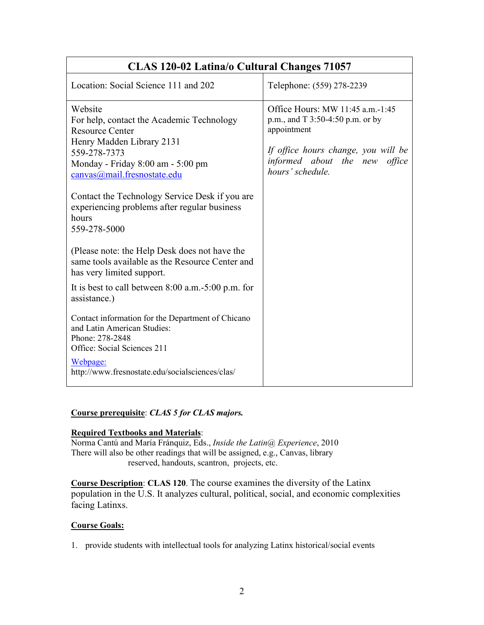| CLAS 120-02 Latina/o Cultural Changes 71057                                                                                                                                                     |                                                                                                                                                                                 |  |  |
|-------------------------------------------------------------------------------------------------------------------------------------------------------------------------------------------------|---------------------------------------------------------------------------------------------------------------------------------------------------------------------------------|--|--|
| Location: Social Science 111 and 202                                                                                                                                                            | Telephone: (559) 278-2239                                                                                                                                                       |  |  |
| Website<br>For help, contact the Academic Technology<br><b>Resource Center</b><br>Henry Madden Library 2131<br>559-278-7373<br>Monday - Friday 8:00 am - 5:00 pm<br>canvas@mail.fresnostate.edu | Office Hours: MW 11:45 a.m.-1:45<br>p.m., and T 3:50-4:50 p.m. or by<br>appointment<br>If office hours change, you will be<br>informed about the new office<br>hours' schedule. |  |  |
| Contact the Technology Service Desk if you are<br>experiencing problems after regular business<br>hours<br>559-278-5000                                                                         |                                                                                                                                                                                 |  |  |
| (Please note: the Help Desk does not have the<br>same tools available as the Resource Center and<br>has very limited support.                                                                   |                                                                                                                                                                                 |  |  |
| It is best to call between $8:00$ a.m.-5:00 p.m. for<br>assistance.)                                                                                                                            |                                                                                                                                                                                 |  |  |
| Contact information for the Department of Chicano<br>and Latin American Studies:<br>Phone: 278-2848<br>Office: Social Sciences 211                                                              |                                                                                                                                                                                 |  |  |
| Webpage:<br>http://www.fresnostate.edu/socialsciences/clas/                                                                                                                                     |                                                                                                                                                                                 |  |  |

# **Course prerequisite**: *CLAS 5 for CLAS majors.*

# **Required Textbooks and Materials**:

Norma Cantú and María Fránquiz, Eds., *Inside the Latin@ Experience*, 2010 There will also be other readings that will be assigned, e.g., Canvas, library reserved, handouts, scantron, projects, etc.

**Course Description**: **CLAS 120**. The course examines the diversity of the Latinx population in the U.S. It analyzes cultural, political, social, and economic complexities facing Latinxs.

# **Course Goals:**

1. provide students with intellectual tools for analyzing Latinx historical/social events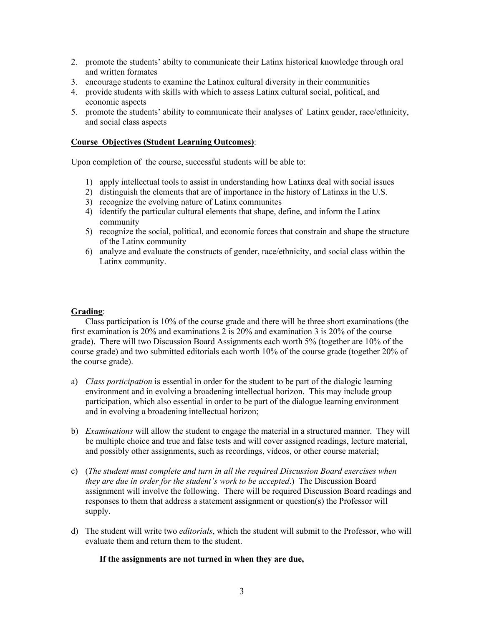- 2. promote the students' abilty to communicate their Latinx historical knowledge through oral and written formates
- 3. encourage students to examine the Latinox cultural diversity in their communities
- 4. provide students with skills with which to assess Latinx cultural social, political, and economic aspects
- 5. promote the students' ability to communicate their analyses of Latinx gender, race/ethnicity, and social class aspects

## **Course Objectives (Student Learning Outcomes)**:

Upon completion of the course, successful students will be able to:

- 1) apply intellectual tools to assist in understanding how Latinxs deal with social issues
- 2) distinguish the elements that are of importance in the history of Latinxs in the U.S.
- 3) recognize the evolving nature of Latinx communites
- 4) identify the particular cultural elements that shape, define, and inform the Latinx community
- 5) recognize the social, political, and economic forces that constrain and shape the structure of the Latinx community
- 6) analyze and evaluate the constructs of gender, race/ethnicity, and social class within the Latinx community.

## **Grading**:

Class participation is 10% of the course grade and there will be three short examinations (the first examination is 20% and examinations 2 is 20% and examination 3 is 20% of the course grade). There will two Discussion Board Assignments each worth 5% (together are 10% of the course grade) and two submitted editorials each worth 10% of the course grade (together 20% of the course grade).

- a) *Class participation* is essential in order for the student to be part of the dialogic learning environment and in evolving a broadening intellectual horizon. This may include group participation, which also essential in order to be part of the dialogue learning environment and in evolving a broadening intellectual horizon;
- b) *Examinations* will allow the student to engage the material in a structured manner. They will be multiple choice and true and false tests and will cover assigned readings, lecture material, and possibly other assignments, such as recordings, videos, or other course material;
- c) (*The student must complete and turn in all the required Discussion Board exercises when they are due in order for the student's work to be accepted*.) The Discussion Board assignment will involve the following. There will be required Discussion Board readings and responses to them that address a statement assignment or question(s) the Professor will supply.
- d) The student will write two *editorials*, which the student will submit to the Professor, who will evaluate them and return them to the student.

## **If the assignments are not turned in when they are due,**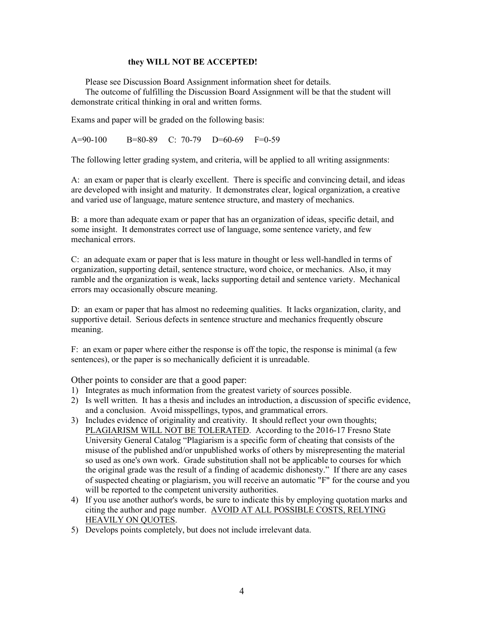### **they WILL NOT BE ACCEPTED!**

Please see Discussion Board Assignment information sheet for details.

The outcome of fulfilling the Discussion Board Assignment will be that the student will demonstrate critical thinking in oral and written forms.

Exams and paper will be graded on the following basis:

A=90-100 B=80-89 C: 70-79 D=60-69 F=0-59

The following letter grading system, and criteria, will be applied to all writing assignments:

A: an exam or paper that is clearly excellent. There is specific and convincing detail, and ideas are developed with insight and maturity. It demonstrates clear, logical organization, a creative and varied use of language, mature sentence structure, and mastery of mechanics.

B: a more than adequate exam or paper that has an organization of ideas, specific detail, and some insight. It demonstrates correct use of language, some sentence variety, and few mechanical errors.

C: an adequate exam or paper that is less mature in thought or less well-handled in terms of organization, supporting detail, sentence structure, word choice, or mechanics. Also, it may ramble and the organization is weak, lacks supporting detail and sentence variety. Mechanical errors may occasionally obscure meaning.

D: an exam or paper that has almost no redeeming qualities. It lacks organization, clarity, and supportive detail. Serious defects in sentence structure and mechanics frequently obscure meaning.

F: an exam or paper where either the response is off the topic, the response is minimal (a few sentences), or the paper is so mechanically deficient it is unreadable.

Other points to consider are that a good paper:

- 1) Integrates as much information from the greatest variety of sources possible.
- 2) Is well written. It has a thesis and includes an introduction, a discussion of specific evidence, and a conclusion. Avoid misspellings, typos, and grammatical errors.
- 3) Includes evidence of originality and creativity. It should reflect your own thoughts; PLAGIARISM WILL NOT BE TOLERATED. According to the 2016-17 Fresno State University General Catalog "Plagiarism is a specific form of cheating that consists of the misuse of the published and/or unpublished works of others by misrepresenting the material so used as one's own work. Grade substitution shall not be applicable to courses for which the original grade was the result of a finding of academic dishonesty." If there are any cases of suspected cheating or plagiarism, you will receive an automatic "F" for the course and you will be reported to the competent university authorities.
- 4) If you use another author's words, be sure to indicate this by employing quotation marks and citing the author and page number. AVOID AT ALL POSSIBLE COSTS, RELYING HEAVILY ON QUOTES.
- 5) Develops points completely, but does not include irrelevant data.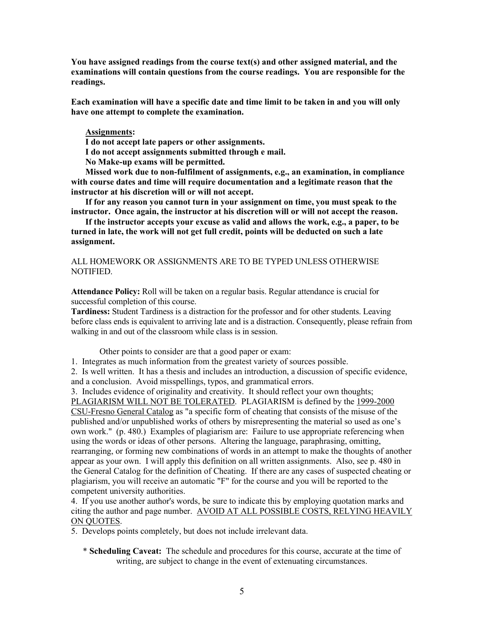**You have assigned readings from the course text(s) and other assigned material, and the examinations will contain questions from the course readings. You are responsible for the readings.**

**Each examination will have a specific date and time limit to be taken in and you will only have one attempt to complete the examination.**

#### **Assignments:**

**I do not accept late papers or other assignments.**

**I do not accept assignments submitted through e mail.**

**No Make-up exams will be permitted.**

**Missed work due to non-fulfilment of assignments, e.g., an examination, in compliance with course dates and time will require documentation and a legitimate reason that the instructor at his discretion will or will not accept.**

**If for any reason you cannot turn in your assignment on time, you must speak to the instructor. Once again, the instructor at his discretion will or will not accept the reason.**

**If the instructor accepts your excuse as valid and allows the work, e.g., a paper, to be turned in late, the work will not get full credit, points will be deducted on such a late assignment.**

ALL HOMEWORK OR ASSIGNMENTS ARE TO BE TYPED UNLESS OTHERWISE NOTIFIED.

**Attendance Policy:** Roll will be taken on a regular basis. Regular attendance is crucial for successful completion of this course.

**Tardiness:** Student Tardiness is a distraction for the professor and for other students. Leaving before class ends is equivalent to arriving late and is a distraction. Consequently, please refrain from walking in and out of the classroom while class is in session.

Other points to consider are that a good paper or exam:

1. Integrates as much information from the greatest variety of sources possible.

2. Is well written. It has a thesis and includes an introduction, a discussion of specific evidence, and a conclusion. Avoid misspellings, typos, and grammatical errors.

3. Includes evidence of originality and creativity. It should reflect your own thoughts; PLAGIARISM WILL NOT BE TOLERATED. PLAGIARISM is defined by the 1999-2000 CSU-Fresno General Catalog as "a specific form of cheating that consists of the misuse of the published and/or unpublished works of others by misrepresenting the material so used as one's own work." (p. 480.) Examples of plagiarism are: Failure to use appropriate referencing when using the words or ideas of other persons. Altering the language, paraphrasing, omitting, rearranging, or forming new combinations of words in an attempt to make the thoughts of another appear as your own. I will apply this definition on all written assignments. Also, see p. 480 in the General Catalog for the definition of Cheating. If there are any cases of suspected cheating or plagiarism, you will receive an automatic "F" for the course and you will be reported to the competent university authorities.

4. If you use another author's words, be sure to indicate this by employing quotation marks and citing the author and page number. AVOID AT ALL POSSIBLE COSTS, RELYING HEAVILY ON QUOTES.

5. Develops points completely, but does not include irrelevant data.

\* **Scheduling Caveat:** The schedule and procedures for this course, accurate at the time of writing, are subject to change in the event of extenuating circumstances.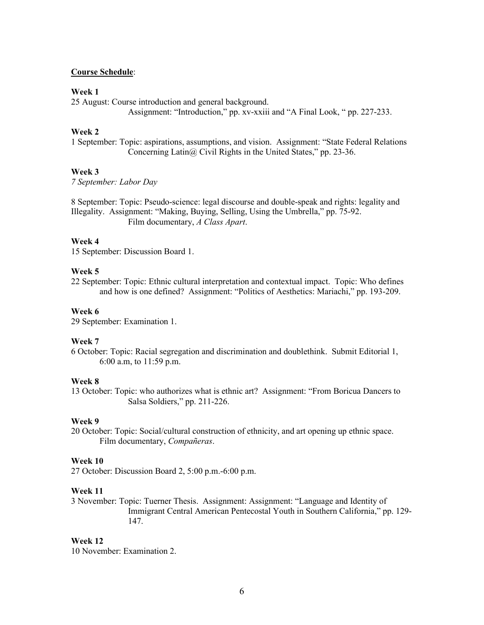### **Course Schedule**:

#### **Week 1**

25 August: Course introduction and general background.

Assignment: "Introduction," pp. xv-xxiii and "A Final Look, " pp. 227-233.

#### **Week 2**

1 September: Topic: aspirations, assumptions, and vision. Assignment: "State Federal Relations Concerning Latin@ Civil Rights in the United States," pp. 23-36.

### **Week 3**

*7 September: Labor Day*

8 September: Topic: Pseudo-science: legal discourse and double-speak and rights: legality and Illegality. Assignment: "Making, Buying, Selling, Using the Umbrella," pp. 75-92. Film documentary, *A Class Apart*.

#### **Week 4**

15 September: Discussion Board 1.

#### **Week 5**

22 September: Topic: Ethnic cultural interpretation and contextual impact. Topic: Who defines and how is one defined? Assignment: "Politics of Aesthetics: Mariachi," pp. 193-209.

#### **Week 6**

29 September: Examination 1.

#### **Week 7**

6 October: Topic: Racial segregation and discrimination and doublethink. Submit Editorial 1, 6:00 a.m, to 11:59 p.m.

#### **Week 8**

13 October: Topic: who authorizes what is ethnic art? Assignment: "From Boricua Dancers to Salsa Soldiers," pp. 211-226.

### **Week 9**

20 October: Topic: Social/cultural construction of ethnicity, and art opening up ethnic space. Film documentary, *Compañeras*.

#### **Week 10**

27 October: Discussion Board 2, 5:00 p.m.-6:00 p.m.

#### **Week 11**

3 November: Topic: Tuerner Thesis. Assignment: Assignment: "Language and Identity of Immigrant Central American Pentecostal Youth in Southern California," pp. 129- 147.

#### **Week 12**

10 November: Examination 2.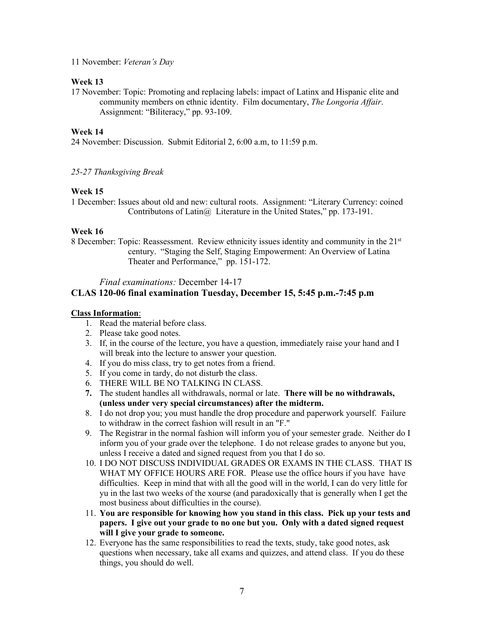11 November: *Veteran's Day*

## **Week 13**

17 November: Topic: Promoting and replacing labels: impact of Latinx and Hispanic elite and community members on ethnic identity. Film documentary, *The Longoria Affair*. Assignment: "Biliteracy," pp. 93-109.

## **Week 14**

24 November: Discussion. Submit Editorial 2, 6:00 a.m, to 11:59 p.m.

*25-27 Thanksgiving Break*

## **Week 15**

1 December: Issues about old and new: cultural roots. Assignment: "Literary Currency: coined Contributons of Latin@ Literature in the United States," pp. 173-191.

## **Week 16**

8 December: Topic: Reassessment. Review ethnicity issues identity and community in the 21<sup>st</sup> century. "Staging the Self, Staging Empowerment: An Overview of Latina Theater and Performance," pp. 151-172.

*Final examinations:* December 14-17

# **CLAS 120-06 final examination Tuesday, December 15, 5:45 p.m.-7:45 p.m**

## **Class Information**:

- 1. Read the material before class.
- 2. Please take good notes.
- 3. If, in the course of the lecture, you have a question, immediately raise your hand and I will break into the lecture to answer your question.
- 4. If you do miss class, try to get notes from a friend.
- 5. If you come in tardy, do not disturb the class.
- 6. THERE WILL BE NO TALKING IN CLASS.
- **7.** The student handles all withdrawals, normal or late. **There will be no withdrawals, (unless under very special circumstances) after the midterm.**
- 8. I do not drop you; you must handle the drop procedure and paperwork yourself. Failure to withdraw in the correct fashion will result in an "F."
- 9. The Registrar in the normal fashion will inform you of your semester grade. Neither do I inform you of your grade over the telephone. I do not release grades to anyone but you, unless I receive a dated and signed request from you that I do so.
- 10. I DO NOT DISCUSS INDIVIDUAL GRADES OR EXAMS IN THE CLASS. THAT IS WHAT MY OFFICE HOURS ARE FOR. Please use the office hours if you have have difficulties. Keep in mind that with all the good will in the world, I can do very little for yu in the last two weeks of the xourse (and paradoxically that is generally when I get the most business about difficulties in the course).
- 11. **You are responsible for knowing how you stand in this class. Pick up your tests and papers. I give out your grade to no one but you. Only with a dated signed request will I give your grade to someone.**
- 12. Everyone has the same responsibilities to read the texts, study, take good notes, ask questions when necessary, take all exams and quizzes, and attend class. If you do these things, you should do well.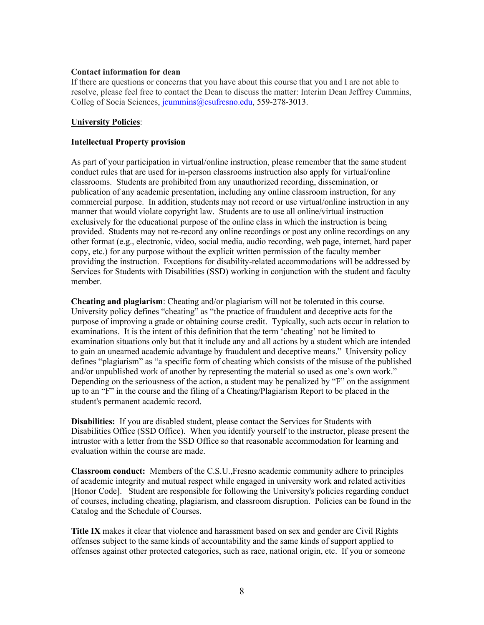### **Contact information for dean**

If there are questions or concerns that you have about this course that you and I are not able to resolve, please feel free to contact the Dean to discuss the matter: Interim Dean Jeffrey Cummins, Colleg of Socia Sciences, [jcummins@csufresno.edu,](mailto:jcummins@csufresno.edu) 559-278-3013.

## **University Policies**:

## **Intellectual Property provision**

As part of your participation in virtual/online instruction, please remember that the same student conduct rules that are used for in-person classrooms instruction also apply for virtual/online classrooms. Students are prohibited from any unauthorized recording, dissemination, or publication of any academic presentation, including any online classroom instruction, for any commercial purpose. In addition, students may not record or use virtual/online instruction in any manner that would violate copyright law. Students are to use all online/virtual instruction exclusively for the educational purpose of the online class in which the instruction is being provided. Students may not re-record any online recordings or post any online recordings on any other format (e.g., electronic, video, social media, audio recording, web page, internet, hard paper copy, etc.) for any purpose without the explicit written permission of the faculty member providing the instruction. Exceptions for disability-related accommodations will be addressed by Services for Students with Disabilities (SSD) working in conjunction with the student and faculty member.

**Cheating and plagiarism**: Cheating and/or plagiarism will not be tolerated in this course. University policy defines "cheating" as "the practice of fraudulent and deceptive acts for the purpose of improving a grade or obtaining course credit. Typically, such acts occur in relation to examinations. It is the intent of this definition that the term 'cheating' not be limited to examination situations only but that it include any and all actions by a student which are intended to gain an unearned academic advantage by fraudulent and deceptive means." University policy defines "plagiarism" as "a specific form of cheating which consists of the misuse of the published and/or unpublished work of another by representing the material so used as one's own work." Depending on the seriousness of the action, a student may be penalized by "F" on the assignment up to an "F" in the course and the filing of a Cheating/Plagiarism Report to be placed in the student's permanent academic record.

**Disabilities:** If you are disabled student, please contact the Services for Students with Disabilities Office (SSD Office). When you identify yourself to the instructor, please present the intrustor with a letter from the SSD Office so that reasonable accommodation for learning and evaluation within the course are made.

**Classroom conduct:** Members of the C.S.U.,Fresno academic community adhere to principles of academic integrity and mutual respect while engaged in university work and related activities [Honor Code]. Student are responsible for following the University's policies regarding conduct of courses, including cheating, plagiarism, and classroom disruption. Policies can be found in the Catalog and the Schedule of Courses.

**Title IX** makes it clear that violence and harassment based on sex and gender are Civil Rights offenses subject to the same kinds of accountability and the same kinds of support applied to offenses against other protected categories, such as race, national origin, etc. If you or someone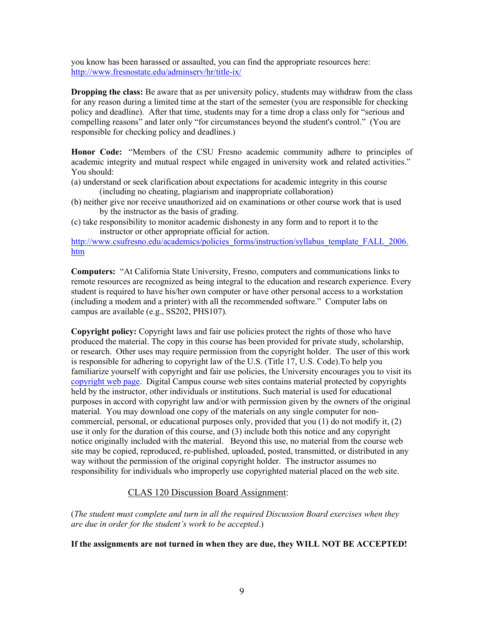you know has been harassed or assaulted, you can find the appropriate resources here: <http://www.fresnostate.edu/adminserv/hr/title-ix/>

**Dropping the class:** Be aware that as per university policy, students may withdraw from the class for any reason during a limited time at the start of the semester (you are responsible for checking policy and deadline). After that time, students may for a time drop a class only for "serious and compelling reasons" and later only "for circumstances beyond the student's control." (You are responsible for checking policy and deadlines.)

**Honor Code:** "Members of the CSU Fresno academic community adhere to principles of academic integrity and mutual respect while engaged in university work and related activities." You should:

- (a) understand or seek clarification about expectations for academic integrity in this course (including no cheating, plagiarism and inappropriate collaboration)
- (b) neither give nor receive unauthorized aid on examinations or other course work that is used by the instructor as the basis of grading.
- (c) take responsibility to monitor academic dishonesty in any form and to report it to the instructor or other appropriate official for action.

[http://www.csufresno.edu/academics/policies\\_forms/instruction/syllabus\\_template\\_FALL\\_2006.](http://www.csufresno.edu/academics/policies_forms/instruction/syllabus_template_FALL_2006.htm) [htm](http://www.csufresno.edu/academics/policies_forms/instruction/syllabus_template_FALL_2006.htm)

**Computers:** "At California State University, Fresno, computers and communications links to remote resources are recognized as being integral to the education and research experience. Every student is required to have his/her own computer or have other personal access to a workstation (including a modem and a printer) with all the recommended software." Computer labs on campus are available (e.g., SS202, PHS107).

**Copyright policy:** Copyright laws and fair use policies protect the rights of those who have produced the material. The copy in this course has been provided for private study, scholarship, or research. Other uses may require permission from the copyright holder. The user of this work is responsible for adhering to copyright law of the U.S. (Title 17, U.S. Code).To help you familiarize yourself with copyright and fair use policies, the University encourages you to visit its [copyright web page.](http://www.lib.csufresno.edu/libraryinformation/campus/copyright/copyrtpolicyfull.pdf) Digital Campus course web sites contains material protected by copyrights held by the instructor, other individuals or institutions. Such material is used for educational purposes in accord with copyright law and/or with permission given by the owners of the original material. You may download one copy of the materials on any single computer for noncommercial, personal, or educational purposes only, provided that you (1) do not modify it, (2) use it only for the duration of this course, and (3) include both this notice and any copyright notice originally included with the material. Beyond this use, no material from the course web site may be copied, reproduced, re-published, uploaded, posted, transmitted, or distributed in any way without the permission of the original copyright holder. The instructor assumes no responsibility for individuals who improperly use copyrighted material placed on the web site.

# CLAS 120 Discussion Board Assignment:

(*The student must complete and turn in all the required Discussion Board exercises when they are due in order for the student's work to be accepted*.)

## **If the assignments are not turned in when they are due, they WILL NOT BE ACCEPTED!**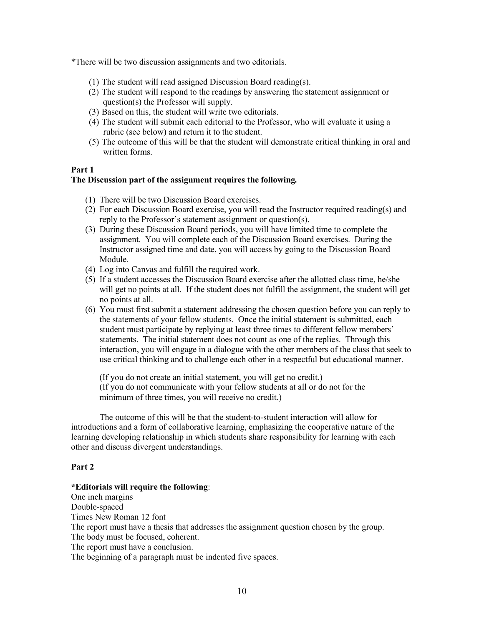\*There will be two discussion assignments and two editorials.

- (1) The student will read assigned Discussion Board reading(s).
- (2) The student will respond to the readings by answering the statement assignment or question(s) the Professor will supply.
- (3) Based on this, the student will write two editorials.
- (4) The student will submit each editorial to the Professor, who will evaluate it using a rubric (see below) and return it to the student.
- (5) The outcome of this will be that the student will demonstrate critical thinking in oral and written forms.

#### **Part 1**

### **The Discussion part of the assignment requires the following***.*

- (1) There will be two Discussion Board exercises.
- (2) For each Discussion Board exercise, you will read the Instructor required reading(s) and reply to the Professor's statement assignment or question(s).
- (3) During these Discussion Board periods, you will have limited time to complete the assignment. You will complete each of the Discussion Board exercises. During the Instructor assigned time and date, you will access by going to the Discussion Board Module.
- (4) Log into Canvas and fulfill the required work.
- (5) If a student accesses the Discussion Board exercise after the allotted class time, he/she will get no points at all. If the student does not fulfill the assignment, the student will get no points at all.
- (6) You must first submit a statement addressing the chosen question before you can reply to the statements of your fellow students. Once the initial statement is submitted, each student must participate by replying at least three times to different fellow members' statements. The initial statement does not count as one of the replies. Through this interaction, you will engage in a dialogue with the other members of the class that seek to use critical thinking and to challenge each other in a respectful but educational manner.

(If you do not create an initial statement, you will get no credit.) (If you do not communicate with your fellow students at all or do not for the minimum of three times, you will receive no credit.)

The outcome of this will be that the student-to-student interaction will allow for introductions and a form of collaborative learning, emphasizing the cooperative nature of the learning developing relationship in which students share responsibility for learning with each other and discuss divergent understandings.

#### **Part 2**

#### **\*Editorials will require the following**:

One inch margins Double-spaced Times New Roman 12 font The report must have a thesis that addresses the assignment question chosen by the group. The body must be focused, coherent. The report must have a conclusion. The beginning of a paragraph must be indented five spaces.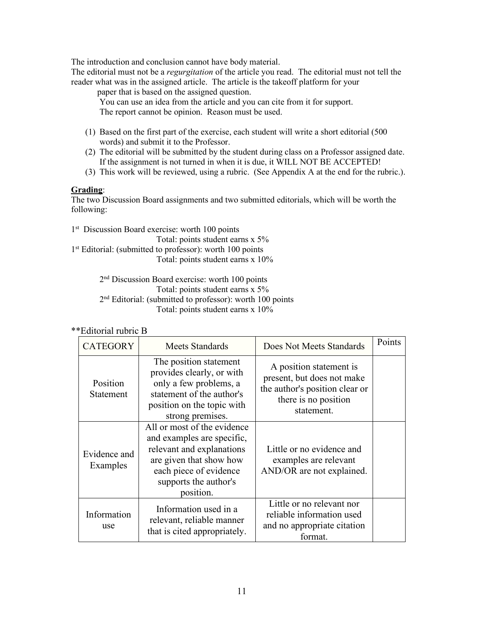The introduction and conclusion cannot have body material.

The editorial must not be a *regurgitation* of the article you read. The editorial must not tell the reader what was in the assigned article. The article is the takeoff platform for your

paper that is based on the assigned question.

You can use an idea from the article and you can cite from it for support. The report cannot be opinion. Reason must be used.

- (1) Based on the first part of the exercise, each student will write a short editorial (500 words) and submit it to the Professor.
- (2) The editorial will be submitted by the student during class on a Professor assigned date. If the assignment is not turned in when it is due, it WILL NOT BE ACCEPTED!
- (3) This work will be reviewed, using a rubric. (See Appendix A at the end for the rubric.).

## **Grading**:

The two Discussion Board assignments and two submitted editorials, which will be worth the following:

1<sup>st</sup> Discussion Board exercise: worth 100 points Total: points student earns x 5% 1<sup>st</sup> Editorial: (submitted to professor): worth 100 points Total: points student earns x 10%

> 2nd Discussion Board exercise: worth 100 points Total: points student earns x 5% 2<sup>nd</sup> Editorial: (submitted to professor): worth 100 points Total: points student earns x 10%

# \*\*Editorial rubric B

| <b>CATEGORY</b>          | Meets Standards                                                                                                                                                                   | Does Not Meets Standards                                                                                                      | Points |
|--------------------------|-----------------------------------------------------------------------------------------------------------------------------------------------------------------------------------|-------------------------------------------------------------------------------------------------------------------------------|--------|
| Position<br>Statement    | The position statement<br>provides clearly, or with<br>only a few problems, a<br>statement of the author's<br>position on the topic with<br>strong premises.                      | A position statement is<br>present, but does not make<br>the author's position clear or<br>there is no position<br>statement. |        |
| Evidence and<br>Examples | All or most of the evidence<br>and examples are specific,<br>relevant and explanations<br>are given that show how<br>each piece of evidence<br>supports the author's<br>position. | Little or no evidence and<br>examples are relevant<br>AND/OR are not explained.                                               |        |
| Information<br>use       | Information used in a<br>relevant, reliable manner<br>that is cited appropriately.                                                                                                | Little or no relevant nor<br>reliable information used<br>and no appropriate citation<br>format.                              |        |